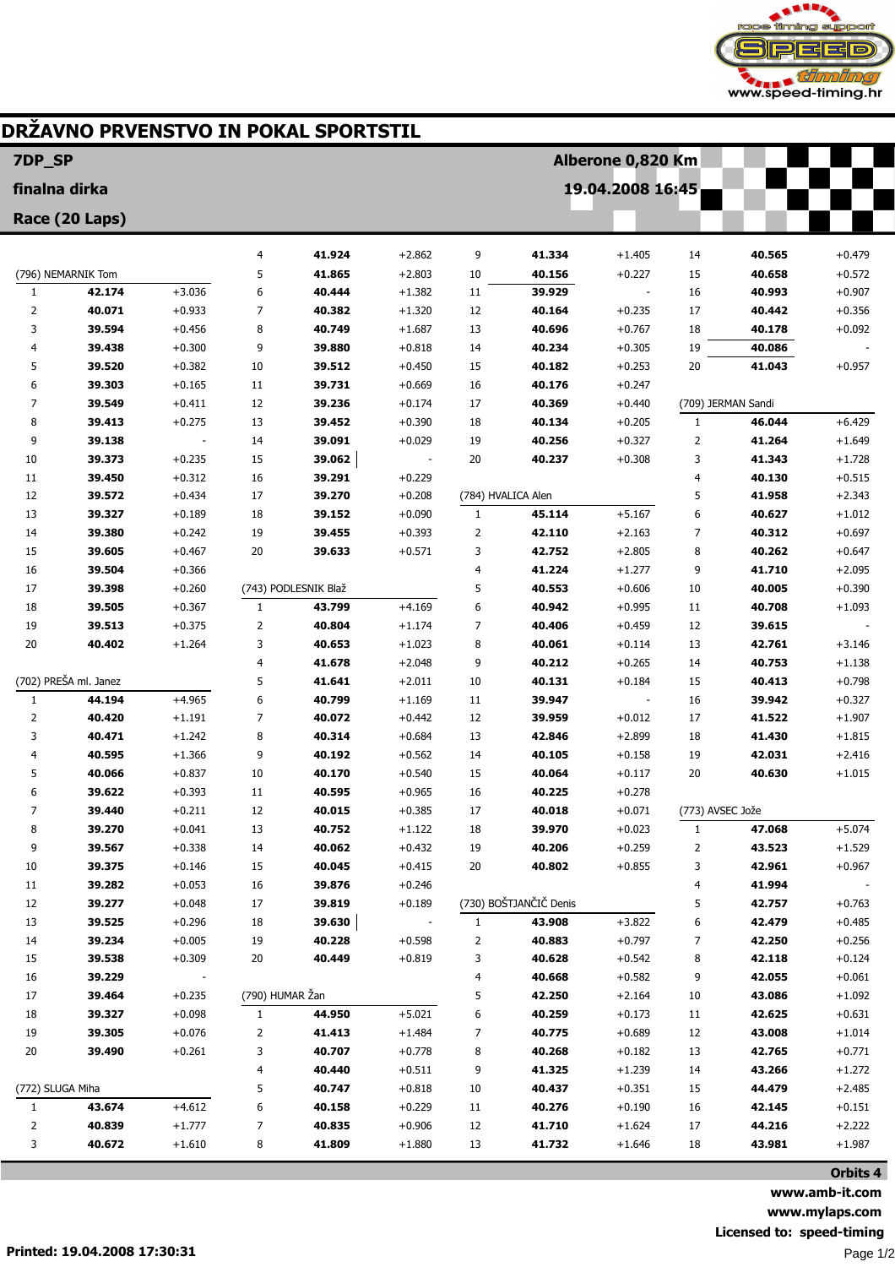

## DRŽAVNO PRVENSTVO IN POKAL SPORTSTIL

| <b>7DP SP</b>      |                       |                      |                 | Alberone 0,820 Km    |                      |                  |                        |                      |                  |                    |                      |
|--------------------|-----------------------|----------------------|-----------------|----------------------|----------------------|------------------|------------------------|----------------------|------------------|--------------------|----------------------|
| finalna dirka      |                       |                      |                 |                      |                      | 19.04.2008 16:45 |                        |                      |                  |                    |                      |
| Race (20 Laps)     |                       |                      |                 |                      |                      |                  |                        |                      |                  |                    |                      |
|                    |                       |                      |                 |                      |                      |                  |                        |                      |                  |                    |                      |
|                    |                       |                      | 4               | 41.924               | $+2.862$             | 9                | 41.334                 | $+1.405$             | 14               | 40.565             | $+0.479$             |
| (796) NEMARNIK Tom |                       |                      | 5               | 41.865               | $+2.803$             | 10               | 40.156                 | $+0.227$             | 15               | 40.658             | $+0.572$             |
| $\mathbf{1}$<br>2  | 42.174<br>40.071      | $+3.036$<br>$+0.933$ | 6<br>7          | 40.444<br>40.382     | $+1.382$<br>$+1.320$ | 11<br>12         | 39.929<br>40.164       | $+0.235$             | 16<br>17         | 40.993<br>40.442   | $+0.907$<br>$+0.356$ |
| 3                  | 39.594                | $+0.456$             | 8               | 40.749               | $+1.687$             | 13               | 40.696                 | $+0.767$             | 18               | 40.178             | $+0.092$             |
| 4                  | 39.438                | $+0.300$             | 9               | 39.880               | $+0.818$             | 14               | 40.234                 | $+0.305$             | 19               | 40.086             |                      |
| 5                  | 39.520                | $+0.382$             | 10              | 39.512               | $+0.450$             | 15               | 40.182                 | $+0.253$             | 20               | 41.043             | $+0.957$             |
| 6                  | 39.303                | $+0.165$             | 11              | 39.731               | $+0.669$             | 16               | 40.176                 | $+0.247$             |                  |                    |                      |
| 7                  | 39.549                | $+0.411$             | 12              | 39.236               | $+0.174$             | 17               | 40.369                 | $+0.440$             |                  | (709) JERMAN Sandi |                      |
| 8                  | 39.413                | $+0.275$             | 13              | 39.452               | $+0.390$             | 18               | 40.134                 | $+0.205$             | 1                | 46.044             | $+6.429$             |
| 9                  | 39.138                |                      | 14              | 39.091               | $+0.029$             | 19               | 40.256                 | $+0.327$             | $\overline{2}$   | 41.264             | $+1.649$             |
| 10                 | 39.373                | $+0.235$             | 15              | 39.062               |                      | 20               | 40.237                 | $+0.308$             | 3                | 41.343             | $+1.728$             |
| 11                 | 39.450                | $+0.312$             | 16              | 39.291               | $+0.229$             |                  |                        |                      | 4                | 40.130             | $+0.515$             |
| 12                 | 39.572                | $+0.434$             | 17              | 39.270               | $+0.208$             |                  | (784) HVALICA Alen     |                      | 5                | 41.958             | $+2.343$             |
| 13                 | 39.327                | $+0.189$             | 18              | 39.152               | $+0.090$             | $\mathbf{1}$     | 45.114                 | $+5.167$             | 6                | 40.627             | $+1.012$             |
| 14                 | 39.380                | $+0.242$             | 19              | 39.455               | $+0.393$             | $\overline{2}$   | 42.110                 | $+2.163$             | 7                | 40.312             | $+0.697$             |
| 15                 | 39.605                | $+0.467$             | 20              | 39.633               | $+0.571$             | 3                | 42.752                 | $+2.805$             | 8                | 40.262             | $+0.647$             |
| 16                 | 39.504                | $+0.366$             |                 |                      |                      | 4                | 41.224                 | $+1.277$             | 9                | 41.710             | $+2.095$             |
| 17                 | 39.398                | $+0.260$             |                 | (743) PODLESNIK Blaž |                      | 5                | 40.553                 | $+0.606$             | 10               | 40.005             | $+0.390$             |
| 18                 | 39.505                | $+0.367$             | $\mathbf{1}$    | 43.799               | $+4.169$             | 6                | 40.942                 | $+0.995$             | 11               | 40.708             | $+1.093$             |
| 19                 | 39.513                | $+0.375$             | 2               | 40.804               | $+1.174$             | 7                | 40.406                 | $+0.459$             | 12               | 39.615             |                      |
| 20                 | 40.402                | $+1.264$             | 3               | 40.653               | $+1.023$             | 8                | 40.061                 | $+0.114$             | 13               | 42.761             | $+3.146$             |
|                    |                       |                      | 4               | 41.678               | $+2.048$             | 9                | 40.212                 | $+0.265$             | 14               | 40.753             | $+1.138$             |
|                    | (702) PREŠA ml. Janez |                      | 5               | 41.641               | $+2.011$             | 10               | 40.131                 | $+0.184$             | 15               | 40.413             | $+0.798$             |
| $\mathbf{1}$       | 44.194                | $+4.965$             | 6               | 40.799               | $+1.169$             | 11               | 39.947                 |                      | 16               | 39.942             | $+0.327$             |
| $\overline{2}$     | 40.420                | $+1.191$             | 7               | 40.072               | $+0.442$             | 12               | 39.959                 | $+0.012$             | 17               | 41.522             | $+1.907$             |
| 3                  | 40.471                | $+1.242$             | 8               | 40.314               | $+0.684$             | 13               | 42.846                 | $+2.899$             | 18               | 41.430             | $+1.815$             |
| 4                  | 40.595                | $+1.366$             | 9               | 40.192               | $+0.562$             | 14               | 40.105                 | $+0.158$             | 19               | 42.031             | $+2.416$             |
| 5                  | 40.066                | $+0.837$             | 10<br>11        | 40.170               | $+0.540$             | 15               | 40.064                 | $+0.117$             | 20               | 40.630             | $+1.015$             |
| 6<br>7             | 39.622<br>39.440      | $+0.393$<br>$+0.211$ | 12              | 40.595<br>40.015     | $+0.965$<br>$+0.385$ | 16<br>17         | 40.225<br>40.018       | $+0.278$<br>$+0.071$ | (773) AVSEC Jože |                    |                      |
| 8                  | 39.270                | $+0.041$             | 13              | 40.752               | $+1.122$             | 18               | 39.970                 | $+0.023$             | 1                | 47.068             | $+5.074$             |
| 9                  | 39.567                | $+0.338$             | 14              | 40.062               | $+0.432$             | 19               | 40.206                 | $+0.259$             | 2                | 43.523             | $+1.529$             |
| 10                 | 39.375                | $+0.146$             | 15              | 40.045               | $+0.415$             | 20               | 40.802                 | $+0.855$             | 3                | 42.961             | $+0.967$             |
| 11                 | 39.282                | $+0.053$             | 16              | 39.876               | $+0.246$             |                  |                        |                      | 4                | 41.994             |                      |
| 12                 | 39.277                | $+0.048$             | 17              | 39.819               | $+0.189$             |                  | (730) BOŠTJANČIČ Denis |                      | 5                | 42.757             | $+0.763$             |
| 13                 | 39.525                | $+0.296$             | 18              | 39.630               |                      | 1                | 43.908                 | $+3.822$             | 6                | 42.479             | $+0.485$             |
| 14                 | 39.234                | $+0.005$             | 19              | 40.228               | $+0.598$             | 2                | 40.883                 | $+0.797$             | 7                | 42.250             | $+0.256$             |
| 15                 | 39.538                | $+0.309$             | 20              | 40.449               | $+0.819$             | 3                | 40.628                 | $+0.542$             | 8                | 42.118             | $+0.124$             |
| 16                 | 39.229                |                      |                 |                      |                      | 4                | 40.668                 | $+0.582$             | 9                | 42.055             | $+0.061$             |
| 17                 | 39.464                | $+0.235$             | (790) HUMAR Žan |                      |                      | 5                | 42.250                 | $+2.164$             | 10               | 43.086             | $+1.092$             |
| 18                 | 39.327                | $+0.098$             | $\mathbf{1}$    | 44.950               | $+5.021$             | 6                | 40.259                 | $+0.173$             | 11               | 42.625             | $+0.631$             |
| 19                 | 39.305                | $+0.076$             | 2               | 41.413               | $+1.484$             | 7                | 40.775                 | $+0.689$             | 12               | 43.008             | $+1.014$             |
| 20                 | 39.490                | $+0.261$             | 3               | 40.707               | $+0.778$             | 8                | 40.268                 | $+0.182$             | 13               | 42.765             | $+0.771$             |
|                    |                       |                      | 4               | 40.440               | $+0.511$             | 9                | 41.325                 | $+1.239$             | 14               | 43.266             | $+1.272$             |
| (772) SLUGA Miha   |                       | 5                    | 40.747          | $+0.818$             | 10                   | 40.437           | $+0.351$               | 15                   | 44.479           | $+2.485$           |                      |
| $\mathbf{1}$       | 43.674                | $+4.612$             | 6               | 40.158               | $+0.229$             | 11               | 40.276                 | $+0.190$             | 16               | 42.145             | $+0.151$             |
| $\overline{2}$     | 40.839                | $+1.777$             | 7               | 40.835               | $+0.906$             | 12               | 41.710                 | $+1.624$             | 17               | 44.216             | $+2.222$             |
| 3                  | 40.672                | $+1.610$             | 8               | 41.809               | $+1.880$             | 13               | 41.732                 | $+1.646$             | 18               | 43.981             | $+1.987$             |
|                    |                       |                      |                 |                      |                      |                  |                        |                      |                  |                    | Orbits 4             |

www.amb-it.com www.mylaps.com Licensed to: speed-timing Page 1/2